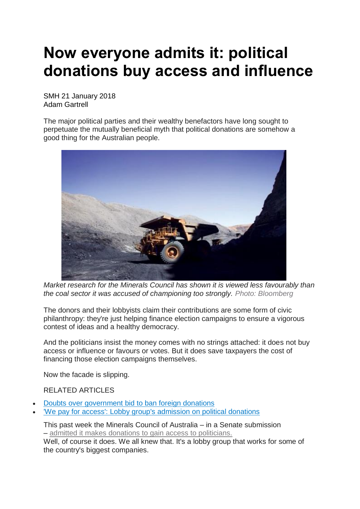## **Now everyone admits it: political donations buy access and influence**

SMH 21 January 2018 Adam Gartrell

The major political parties and their wealthy benefactors have long sought to perpetuate the mutually beneficial myth that political donations are somehow a good thing for the Australian people.



*Market research for the Minerals Council has shown it is viewed less favourably than the coal sector it was accused of championing too strongly. Photo: Bloomberg*

The donors and their lobbyists claim their contributions are some form of civic philanthropy: they're just helping finance election campaigns to ensure a vigorous contest of ideas and a healthy democracy.

And the politicians insist the money comes with no strings attached: it does not buy access or influence or favours or votes. But it does save taxpayers the cost of financing those election campaigns themselves.

Now the facade is slipping.

## RELATED ARTICLES

- Doubts over [government](http://www.smh.com.au/federal-politics/political-news/doubts-over-whether-foreign-donations-ban-will-hurt--or-pass-legal-test-20171205-gzzb8p.html) bid to ban foreign donations
- 'We pay for access': Lobby group's [admission](http://www.smh.com.au/federal-politics/political-news/we-pay-for-access-minerals-councils-admission-on-political-donations-20180116-h0jgpf.html) on political donations

This past week the Minerals Council of Australia – in a Senate submission – admitted it makes donations to gain access to [politicians.](http://www.smh.com.au/federal-politics/political-news/we-pay-for-access-minerals-councils-admission-on-political-donations-20180116-h0jgpf.html)

Well, of course it does. We all knew that. It's a lobby group that works for some of the country's biggest companies.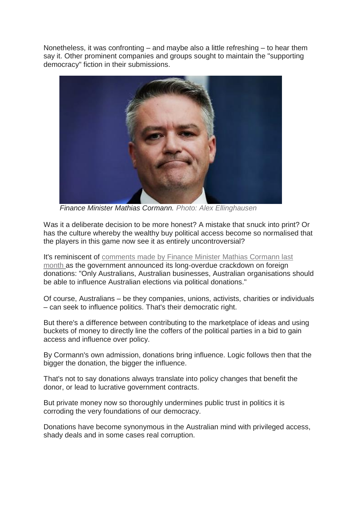Nonetheless, it was confronting – and maybe also a little refreshing – to hear them say it. Other prominent companies and groups sought to maintain the "supporting democracy" fiction in their submissions.



 *Finance Minister Mathias Cormann. Photo: Alex Ellinghausen*

Was it a deliberate decision to be more honest? A mistake that snuck into print? Or has the culture whereby the wealthy buy political access become so normalised that the players in this game now see it as entirely uncontroversial?

It's reminiscent of [comments](http://www.smh.com.au/federal-politics/political-news/doubts-over-whether-foreign-donations-ban-will-hurt--or-pass-legal-test-20171205-gzzb8p.html) made by Finance Minister Mathias Cormann last [month](http://www.smh.com.au/federal-politics/political-news/doubts-over-whether-foreign-donations-ban-will-hurt--or-pass-legal-test-20171205-gzzb8p.html) as the government announced its long-overdue crackdown on foreign donations: "Only Australians, Australian businesses, Australian organisations should be able to influence Australian elections via political donations."

Of course, Australians – be they companies, unions, activists, charities or individuals – can seek to influence politics. That's their democratic right.

But there's a difference between contributing to the marketplace of ideas and using buckets of money to directly line the coffers of the political parties in a bid to gain access and influence over policy.

By Cormann's own admission, donations bring influence. Logic follows then that the bigger the donation, the bigger the influence.

That's not to say donations always translate into policy changes that benefit the donor, or lead to lucrative government contracts.

But private money now so thoroughly undermines public trust in politics it is corroding the very foundations of our democracy.

Donations have become synonymous in the Australian mind with privileged access, shady deals and in some cases real corruption.